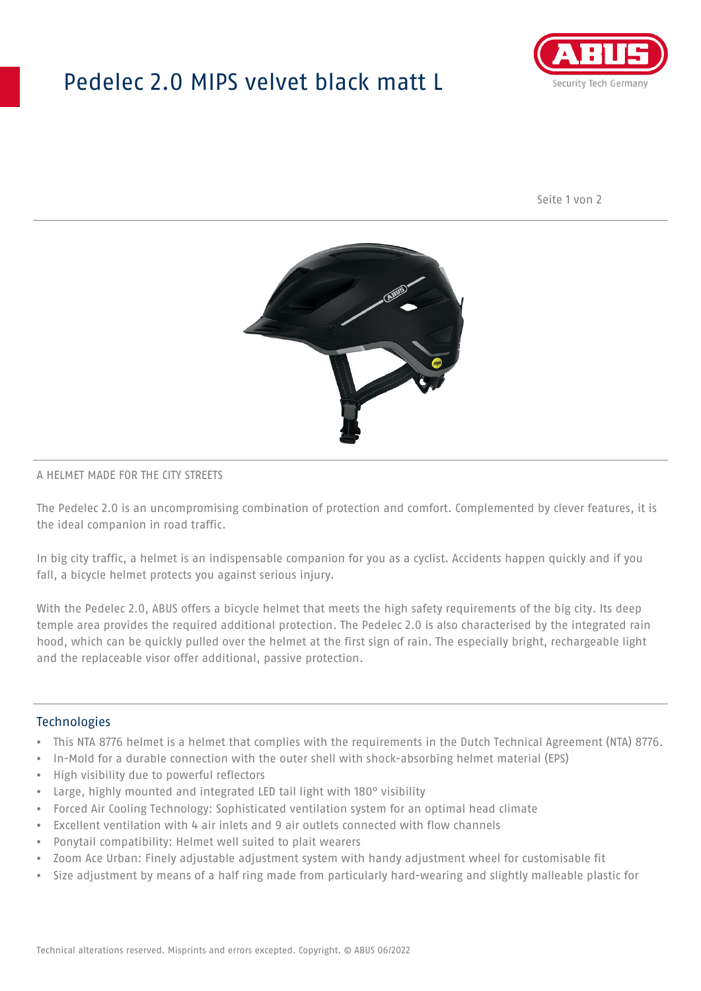## Pedelec 2.0 MIPS velvet black matt L



Seite 1 von 2



#### A HELMET MADE FOR THE CITY STREETS

The Pedelec 2.0 is an uncompromising combination of protection and comfort. Complemented by clever features, it is the ideal companion in road traffic.

In big city traffic, a helmet is an indispensable companion for you as a cyclist. Accidents happen quickly and if you fall, a bicycle helmet protects you against serious injury.

With the Pedelec 2.0, ABUS offers a bicycle helmet that meets the high safety requirements of the big city. Its deep temple area provides the required additional protection. The Pedelec 2.0 is also characterised by the integrated rain hood, which can be quickly pulled over the helmet at the first sign of rain. The especially bright, rechargeable light and the replaceable visor offer additional, passive protection.

#### Technologies

- This NTA 8776 helmet is a helmet that complies with the requirements in the Dutch Technical Agreement (NTA) 8776.
- In-Mold for a durable connection with the outer shell with shock-absorbing helmet material (EPS)
- High visibility due to powerful reflectors
- Large, highly mounted and integrated LED tail light with 180° visibility
- Forced Air Cooling Technology: Sophisticated ventilation system for an optimal head climate
- Excellent ventilation with 4 air inlets and 9 air outlets connected with flow channels
- Ponytail compatibility: Helmet well suited to plait wearers
- Zoom Ace Urban: Finely adjustable adjustment system with handy adjustment wheel for customisable fit
- Size adjustment by means of a half ring made from particularly hard-wearing and slightly malleable plastic for